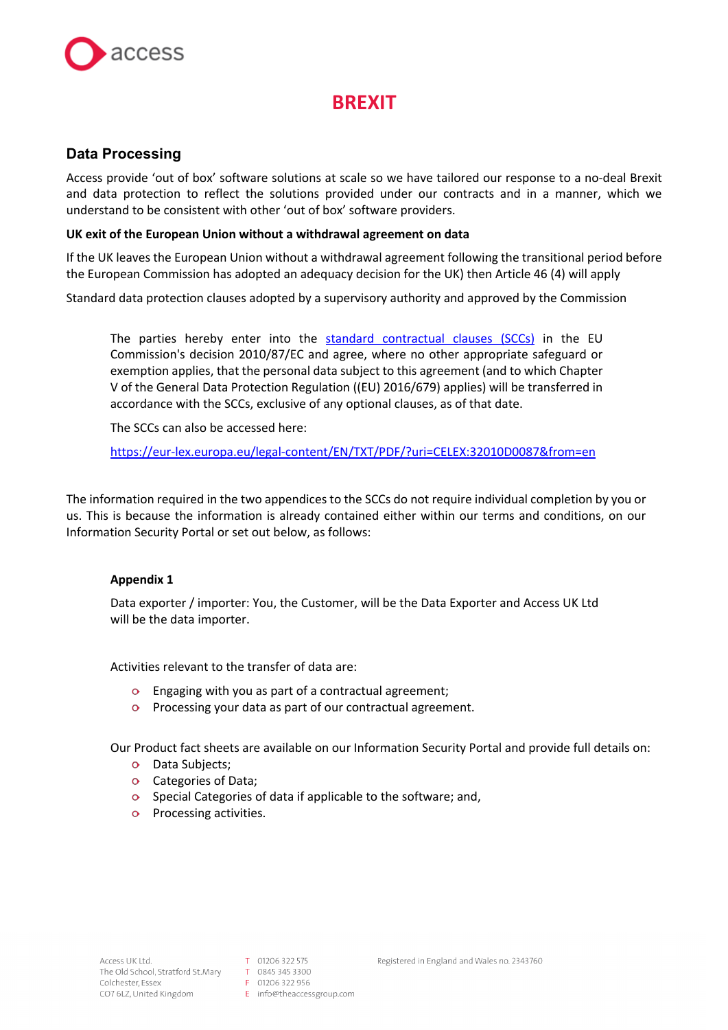

# **BREXIT**

# **Data Processing**

Access provide 'out of box' software solutions at scale so we have tailored our response to a no-deal Brexit and data protection to reflect the solutions provided under our contracts and in a manner, which we understand to be consistent with other 'out of box' software providers.

## **UK exit of the European Union without a withdrawal agreement on data**

If the UK leaves the European Union without a withdrawal agreement following the transitional period before the European Commission has adopted an adequacy decision for the UK) then Article 46 (4) will apply

Standard data protection clauses adopted by a supervisory authority and approved by the Commission

The parties hereby enter into the standard contractual clauses (SCCs) in the EU Commission's decision 2010/87/EC and agree, where no other appropriate safeguard or exemption applies, that the personal data subject to this agreement (and to which Chapter V of the General Data Protection Regulation ((EU) 2016/679) applies) will be transferred in accordance with the SCCs, exclusive of any optional clauses, as of that date.

The SCCs can also be accessed here:

https://eur-lex.europa.eu/legal-content/EN/TXT/PDF/?uri=CELEX:32010D0087&from=en

The information required in the two appendices to the SCCs do not require individual completion by you or us. This is because the information is already contained either within our terms and conditions, on our Information Security Portal or set out below, as follows:

# **Appendix 1**

Data exporter / importer: You, the Customer, will be the Data Exporter and Access UK Ltd will be the data importer.

Activities relevant to the transfer of data are:

- $\bullet$  Engaging with you as part of a contractual agreement;
- **Processing your data as part of our contractual agreement.**

Our Product fact sheets are available on our Information Security Portal and provide full details on:

- o Data Subjects;
- Categories of Data;
- $\circ$  Special Categories of data if applicable to the software; and,
- **o** Processing activities.